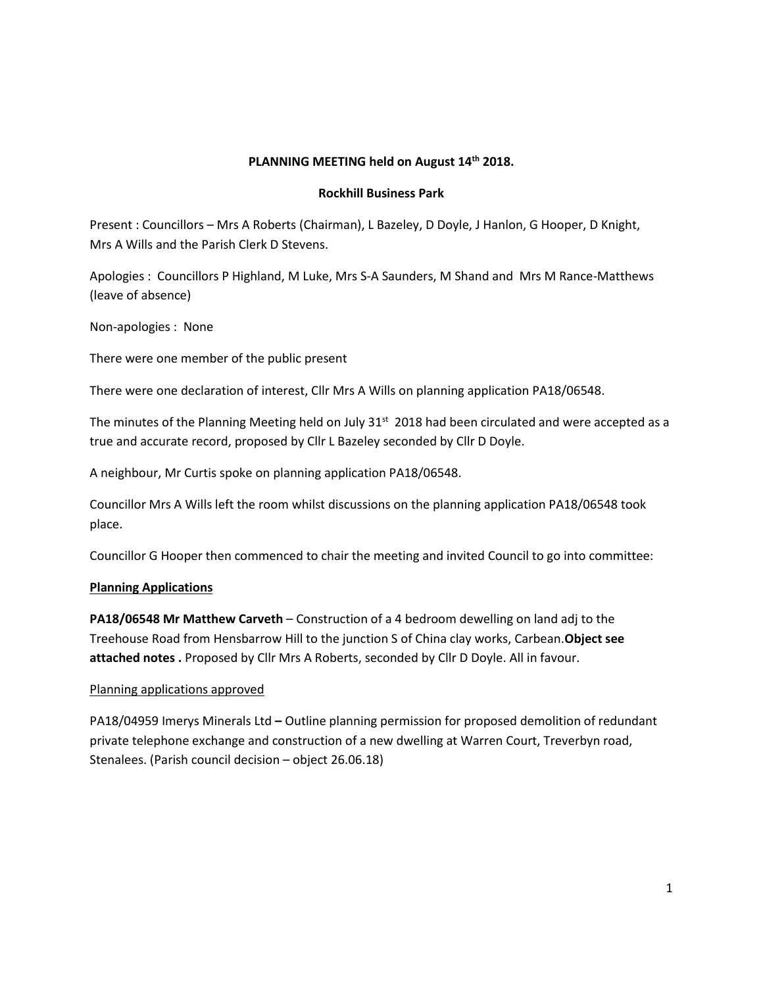## **PLANNING MEETING held on August 14th 2018.**

### **Rockhill Business Park**

Present : Councillors – Mrs A Roberts (Chairman), L Bazeley, D Doyle, J Hanlon, G Hooper, D Knight, Mrs A Wills and the Parish Clerk D Stevens.

Apologies : Councillors P Highland, M Luke, Mrs S-A Saunders, M Shand and Mrs M Rance-Matthews (leave of absence)

Non-apologies : None

There were one member of the public present

There were one declaration of interest, Cllr Mrs A Wills on planning application PA18/06548.

The minutes of the Planning Meeting held on July 31<sup>st</sup> 2018 had been circulated and were accepted as a true and accurate record, proposed by Cllr L Bazeley seconded by Cllr D Doyle.

A neighbour, Mr Curtis spoke on planning application PA18/06548.

Councillor Mrs A Wills left the room whilst discussions on the planning application PA18/06548 took place.

Councillor G Hooper then commenced to chair the meeting and invited Council to go into committee:

# **Planning Applications**

**PA18/06548 Mr Matthew Carveth** – Construction of a 4 bedroom dewelling on land adj to the Treehouse Road from Hensbarrow Hill to the junction S of China clay works, Carbean.**Object see attached notes .** Proposed by Cllr Mrs A Roberts, seconded by Cllr D Doyle. All in favour.

#### Planning applications approved

PA18/04959 Imerys Minerals Ltd **–** Outline planning permission for proposed demolition of redundant private telephone exchange and construction of a new dwelling at Warren Court, Treverbyn road, Stenalees. (Parish council decision – object 26.06.18)